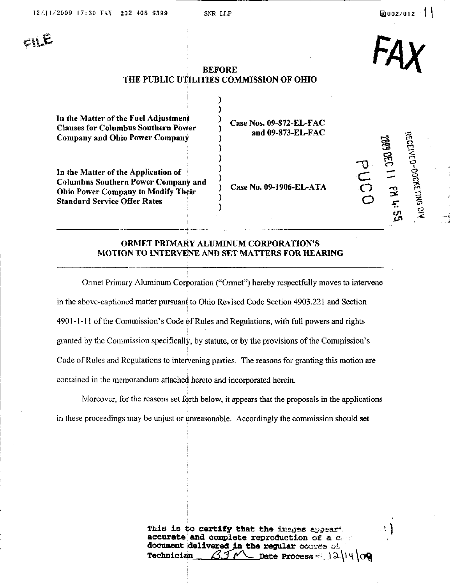$\epsilon$ ije

FAX

 $\tilde{5}$ 

 $\tilde{\mathcal{F}}$ 

몬 o

 $\Xi$ 

 $C \neq$  $\overline{C}$  $\breve{\circ}$   $0.600$ 

 $\epsilon$ "<br>"

..<br>ረገ

 $\mathbb{Z}$ 

# BEFORE THE PUBLIC UtiLITIES COMMISSION OF OHIO

In the Matter of the Fuel Adjustment Clauses for Columbus Southern Power Company and Ohio Power Company Case Nos. 09-872-EL-FAC

In the Matter of the Application of Columbus Southern Power Company and Ohio Power Company to Modify Their Standard Service Offer Rates

and 09-873-EL-FAC

Case No. 09-1906-EL-ATA

## ORMET PRIMARY ALUMINUM CORPORATION'S MOTION TO INTERVENE AND SET MATTERS FOR HEARING

١

Ormet Primary Aluminum Corporation ("Ormet") hereby respectfully moves to intervene in the above-captioned matter pursuant to Ohio Revised Code Section 4903.221 and Section 4901-1-11 of the Conmiission's Code of Rules and Regulations, with full powers and rights granted by the Commission specifically, by statute, or by the provisions of the Commission's Code of Rules and Regulations to intervening parties. The reasons for granting this motion are contained in the memorandum attached hereto and incorporated herein.

Moreover, for the reasons set forth below, it appears that the proposals in the applications in these proceedings may be unjust or unreasonable. Accordingly the commission should set

> This is to certify that the images appeart accurate and complete reproduction of a  $c$ document delivered in the regular course of Technician  $\mathcal{I} \mathcal{I} \mathcal{N}$  pate Process =  $\mathcal{I} \mathcal{I} \mathcal{H} \setminus \mathcal{O} \mathcal{Q}$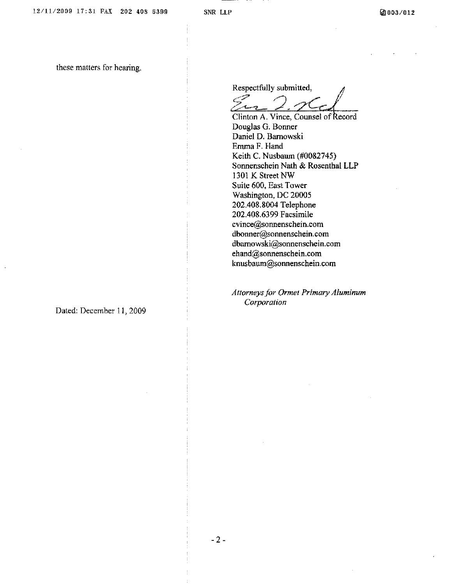these matters for hearing.

Respectfully submitted,

 $2.26$ 

Clinton A. Vince, Counsel of Record Douglas G. Bonner Daniel D. Barnowski Emma F. Hand Keith C. Nusbaum (#0082745) Sonnenschein Nath & Rosenthal LLP 1301 K Street NW Suite 600, East Tower Washington, DC 20005 202.408.8004 Telephone 202.408.6399 Facsimile cvince@sonnenschein.com [dboimer@sonnenschein.com](mailto:dboimer@sonnenschein.com)  [dbamowski@sonnenschein.com](mailto:dbamowski@sonnenschein.com)  [ehand@soimenschein.com](mailto:ehand@soimenschein.com)  [knusbaum@sonnenschein.com](mailto:knusbaum@sonnenschein.com) 

Attorneys for Ormet Primary Aluminum Corporation

Dated: December 11, 2009

 $-2-$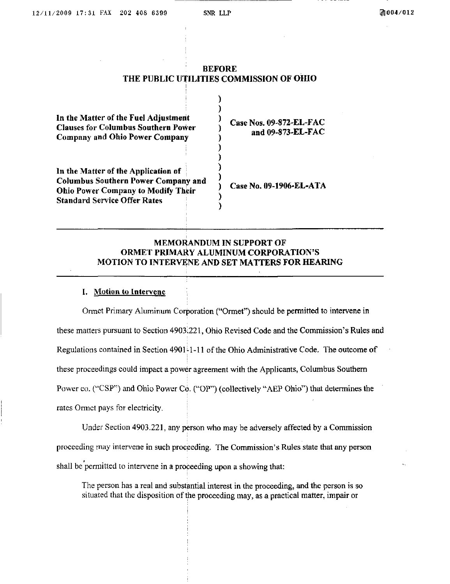### **BEFORE** THE PUBLIC UTILITIES COMMISSION OF OHIO

Y

| In the Matter of the Fuel Adjustment       |  |
|--------------------------------------------|--|
| <b>Clauses for Columbus Southern Power</b> |  |
| <b>Company and Ohio Power Company</b>      |  |

In the Matter of the Application of Columbus Southern Power Company and Ohio Power Company to Modify Their Standard Service Offer Rates

Case Nos. 09-872-EL-FAC and 09-873-EL-FAC

Case No. 09-1906-EL-ATA

## MEMORANDUM IN SUPPORT OF ORMET PRIMARY ALUMINUM CORPORATION'S MOTION TO INTERVENE AND SET MATTERS FOR HEARING

)

### I. Motion to Intervene

Ormet Primary Aluminum Corporation ("Ormet") should be permitted to intervene in these matters pursuant to Section 4903.221, Ohio Revised Code and the Commission's Rules and Regulations contained in Section  $4901-11$  of the Ohio Administrative Code. The outcome of these proceedings could impact a power agreement with the Applicants, Columbus Southern Power co. ("CSP") and Ohio Power Co. ("OP") (collectively "AEP Ohio") that determines the rates Ormet pays for electricity.

Under Section 4903.221, any person who may be adversely affected by a Commission proceeding may intervene in such proceeding. The Commission's Rules state that any person shall be permitted to intervene in a proceeding upon a showing that:

The person has a real and substantial interest in the proceeding, and the person is so situated that the disposition of the proceeding may, as a practical matter, impair or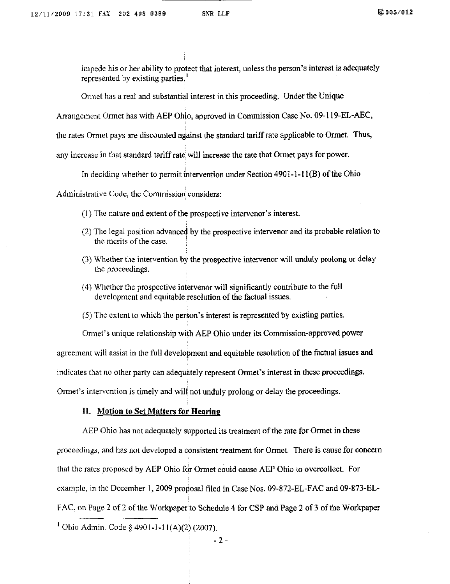impede his or her ability to protect that interest, unless the person's interest is adequately represented by existing parties.'

Ormet has a real and substantial interest in this proceeding. Under the Unique

Arrangement Ormet has with AEP Ohio, approved in Commission Case No. 09-119-EL-AEC,

the rates Ormet pays are discounted against the standard tariff rate applicable to Ormet. Thus,

any increase in that standard tariff rate will increase the rate that Ormet pays for power.

In deciding whether to permit intervention under Section 4901-1-11(B) of the Ohio

Administrative Code, the Commission considers:

- (1) The nature and extent of the prospective intervenor's interest.
- (2) The legal position advanced by the prospective intervenor and its probable relation to the merits of the case.
- (3) Whether the intervention by the prospective intervenor will imduly prolong or delay the proceedings.
- (4) Whether the prospective intervenor will significantly contribute to the full development and equitable resolution of the factual issues.
- (5) The extent to which the person's interest is represented by existing parties.

Ormet's unique relationship with AEP Ohio under its Commission-approved power

agreement will assist in the full development and equitable resolution of the factual issues and

indicates that no other party can adequately represent Ormet's interest in these proceedings.

Ormet's intervention is timely and will not unduly prolong or delay the proceedings.

#### IL Motion to Set Matters for Hearing

AEP Ohio has not adequately supported its treatment of the rate for Ormet in these proceedings, and has not developed a consistent treatment for Ormet. There is cause for concern that the rates proposed by AEP Ohio for Ormet could cause AEP Ohio to overcollect. For example, in the December 1, 2009 proposal filed in Case Nos. 09-872-EL-FAC and 09-873-EL-FAC, on Page 2 of 2 of the Workpaper ito Schedule 4 for CSP and Page 2 of 3 of the Workpaper

' Ohio Admin. Code § 4901-1-11(A)(2) (2007).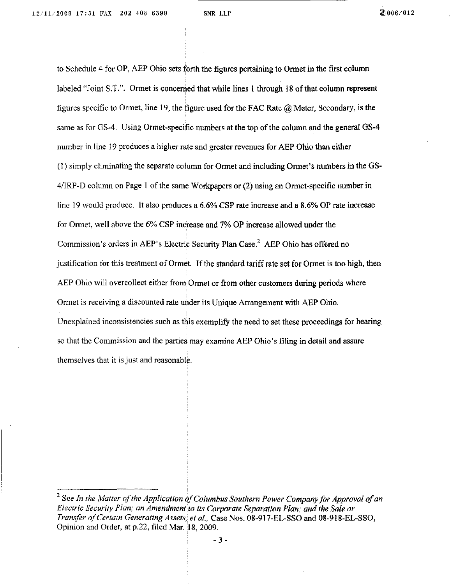to Schedule 4 for OP, AEP Ohio sets forth the figures pertaining to Ormet in the first column labeled "Joint S.T.". Ormet is concenied that while lines I through 18 of that column represent figures specific to Ormet, line 19, the figure used for the FAC Rate  $@$  Meter, Secondary, is the same as for GS-4. Using Ormet-specific numbers at the top of the column and the general GS-4 number in line 19 produces a higher rate and greater revenues for AEP Ohio than either (1) simply eliminating the separate column for Ormet and including Ormet's numbers in the GS-4/IRP-D column on Page 1 of the same Workpapers or (2) using an Ormet-specific number in line 19 would produce. It also produces a 6.6% CSP rate increase and a 8.6% OP rate increase for Ormet, well above the 6% CSP increase and 7% OP increase allowed under the Commission's orders in AEP's Electric Security Plan Case. $<sup>2</sup>$  AEP Ohio has offered no</sup> justification for this treatment of Ormet. If the standard tariff rate set for Ormet is too high, then AEP Ohio will overcollect either from Ormet or from other customers during periods where Ormet is receiving a discounted rate under its Unique Arrangement with AEP Ohio. Unexplained inconsistencies such as this exemplify the need to set these proceedings for hearing so that the Commission and the parties may examine AEP Ohio's filing in detail and assure themselves that it is just and reasonable.

 $3$  See In the Matter of the Application of Columbus Southern Power Company for Approval of an Electric Security Plan; an Amendment to its Corporate Separation Plan; and the Sale or Transfer of Certain Generating Assets; et al, Case Nos. 08-917-EL-SSO and 08-918-EL-SSO, Opinion and Order, at p.22, filed Mar. 18, 2009.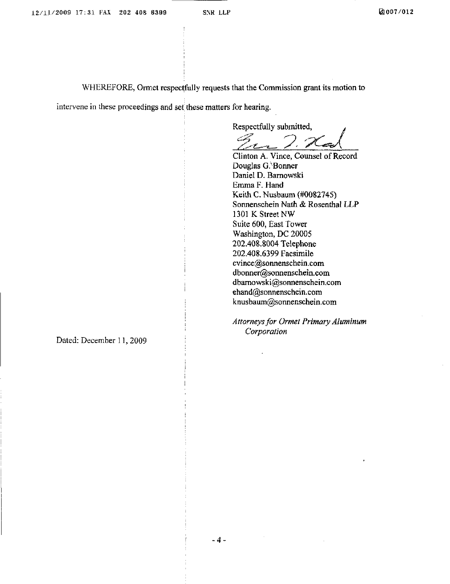WHEREFORE, Ormet respectfully requests that the Commission grant its motion to

intervene in these proceedings and set these matters for hearing.

Respectfully submitted.

 $\sqrt{222 \times 10^{-4}}$ 

Clinton A. Vince, Counsel of Record Douglas G.<sup>\</sup>Bonner Daniel D. Barnowski Emma F. Hand Keith C. Nusbaum (#0082745) Sonnenschein Nath & Rosenthal LLP 1301 K Street NW Suite 600, East Tower Washington, DC 20005 202.408.8004 Telephone 202.408.6399 Facsimile cvince@sonnenschein.com [dbonner@sonnenschein.com](mailto:dbonner@sonnenschein.com)  [dbamowski@sonnenschein.com](mailto:dbamowski@sonnenschein.com)  [ehand@sonnenschein.com](mailto:ehand@sonnenschein.com)  [knusbaum@sonnenschein.com](mailto:knusbaum@sonnenschein.com) 

Attorneys for Ormet Primary Aluminum Corporation

Dated: December 11. 2009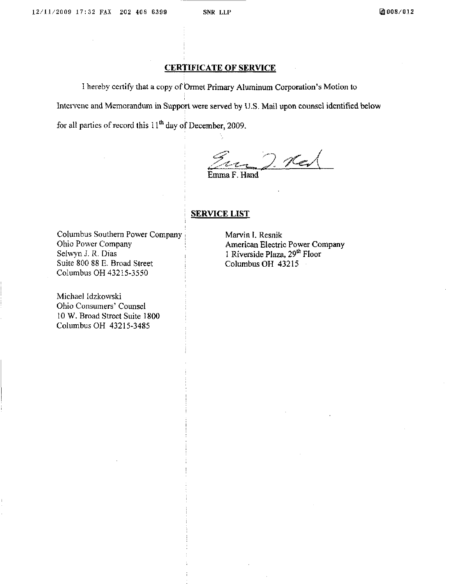# CERTIFICATE OF SERVICE

1 hereby ceitify that a copy of Ormet Primary Aluminum Corporation's Motion to Intervene and Memorandum in Support were served by U.S. Mail upon counsel identified below for all parties of record this  $11<sup>th</sup>$  day of December, 2009.

.<C'€-^t^  $2.7$ 

Emma F. Hand

# **SERVICE LIST**

Columbus Southern Power Company Ohio Power Company Selwyn J. R. Dias Suite 800 88 E. Broad Street Columbus OH 43215-3550

Michael Idzkowski Ohio Consumers' Counsel 10 W. Broad Street Suite 1800 Columbus OH 43215-3485

Marvin I. Resnik American Electric Power Company 1 Riverside Plaza,  $29<sup>th</sup>$  Floor Columbus OH 43215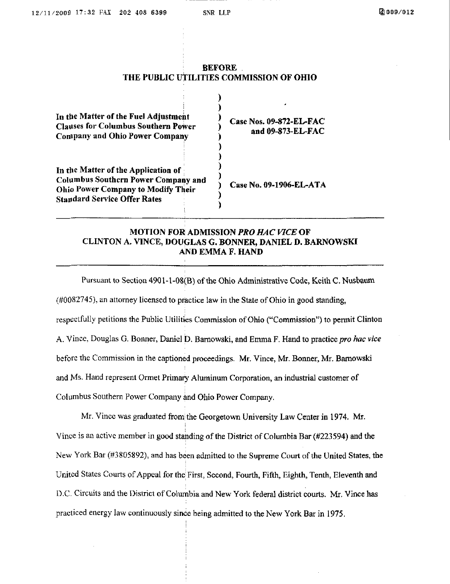#### BEFORE THE PUBLIC UTILITIES COMMISSION OF OHIO

| In the Matter of the Fuel Adjustment<br><b>Clauses for Columbus Southern Power</b><br>Company and Ohio Power Company                                                  | Case Nos. 09-872-EL-FAC<br>and 09-873-EL-FAC |
|-----------------------------------------------------------------------------------------------------------------------------------------------------------------------|----------------------------------------------|
| In the Matter of the Application of<br><b>Columbus Southern Power Company and</b><br><b>Ohio Power Company to Modify Their</b><br><b>Standard Service Offer Rates</b> | Case No. 09-1906-EL-ATA                      |

# MOTION FOR ADMISSION PRO HAC VICE OF CLINTON A. VINCE, DOUGLAS G. BONNER, DANIEL D. BARNOWSKI A ND EMMA F. HAND

Pursuant to Section 4901-1-08(B) of the Ohio Administrative Code, Keith C. Nusbauni (#0082745), an attorney licensed to practice law in the State of Ohio in good standing, respectfully petitions the Public Utilities Commission of Ohio ("Commission") to permit Clinton A. Vince, Douglas G. Bonner, Daniel D. Barnowski, and Emma F. Hand to practice pro hac vice before the Commission in the captioned proceedings. Mr. Vince, Mr. Bonner, Mr. Barnowski and Ms. Hand represent Ormet Primary Aluminum Corporation, an industrial customer of Columbus Southern Power Company and Ohio Power Company.

Mr. Vincc was graduated fromithe Georgetown University Law Center in 1974. Mr. Vince is an active member in good standing of the District of Columbia Bar (#223594) and the New York Bar (#3805892), and has been admitted to the Supreme Court of the United States, the United States Courts of Appeal for the First, Second, Fourth, Fifth, Eighth, Tenth, Eleventh and D.C. Circuits and the District of Columbia and New York federal district courts. Mr. Vince has practiced energy law continuously since being admitted to the New York Bar in 1975.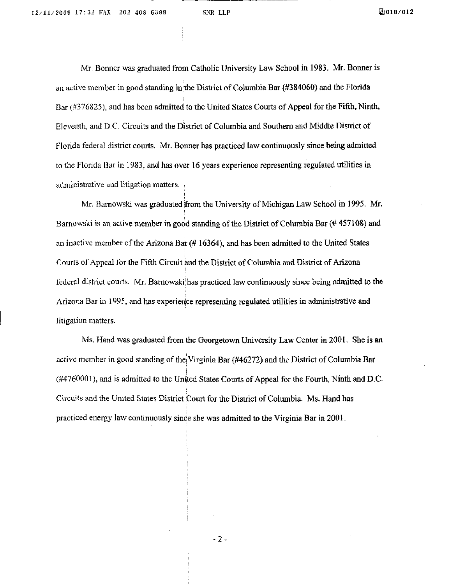Mr. Bonner was graduated from Catholic University Law School in 1983, Mr. Bonner is an active member in good standing in the District of Columbia Bar (#384060) and the Florida Bar (#376825), and has been admitted to the United States Courts of Appeal for the Fifth, Ninth, Eleventh, and D.C. Circuits and the District of Columbia and Southern and Middle District of Florida federal district courts. Mr. Bonner has practiced law continuously since being admitted to the Florida Bar in 1983, and has over 16 years experience representing regulated utilities in administrative and litigation matters.

Mr. Barnowski was graduated from the University of Michigan Law School in 1995. Mr. Barnowski is an active member in good standing of the District of Columbia Bar (# 457108) and an inactive member of the Arizona Bar (# 16364), and has been admitted to the United States Courts of Appeal for the Fifth Circuit knd the District of Columbia and District of Arizona federal district courts. Mr. Barnowski has practiced law continuously since being admitted to the Arizona Bar in 1995, and has experience representing regulated utilities in administrative and litigation matters.

Ms. Hand was graduated from the Georgetown University Law Center in 2001. She is an active member in good standing of the Virginia Bar (#46272) and the District of Columbia Bar (#4760001), and is admitted to the United States Courts of Appeal for the Fourth, Ninth and D.C. Circuits and the United States District Court for the District of Columbia. Ms. Hand has practiced energy law continuously since she was admitted to the Virginia Bar in 2001.

 $-2-$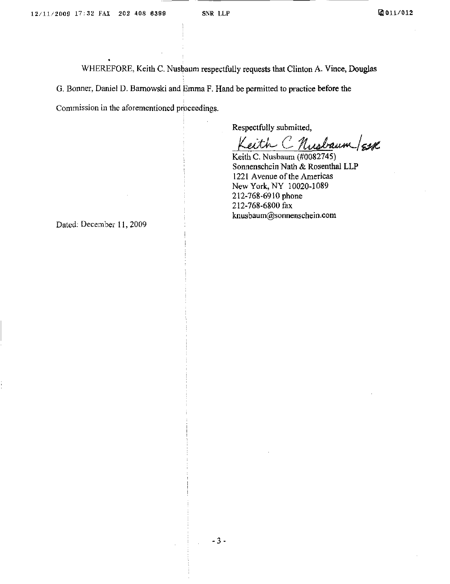WHEREFORE, Keith C. Nusbaum respectfully requests that Clinton A. Vince, Douglas G. Bonner, Daniel D. Barnowski and Emma F. Hand be permitted to practice before the Commission in the aforementioned proceedings.

Respectfully submitted,

Leith C Nusbaum/Esse

Keith C. Nusbaum (#0082745) Sonnenschein Nath & Rosenthal LLP 1221 Avenue of the Americas New York, NY 10020-1089 212-768-6910 phone 212-768-6800 fax [knusbaum@sonnenschein.com](mailto:knusbaum@sonnenschein.com) 

Dated: December 11,2009